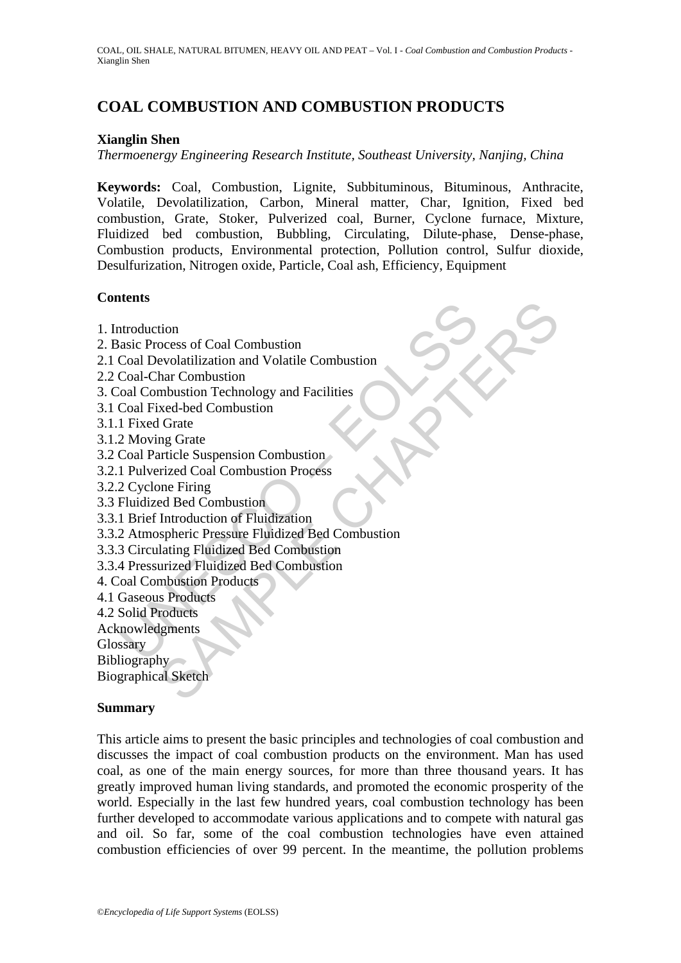# **COAL COMBUSTION AND COMBUSTION PRODUCTS**

#### **Xianglin Shen**

*Thermoenergy Engineering Research Institute, Southeast University, Nanjing, China*

**Keywords:** Coal, Combustion, Lignite, Subbituminous, Bituminous, Anthracite, Volatile, Devolatilization, Carbon, Mineral matter, Char, Ignition, Fixed bed combustion, Grate, Stoker, Pulverized coal, Burner, Cyclone furnace, Mixture, Fluidized bed combustion, Bubbling, Circulating, Dilute-phase, Dense-phase, Combustion products, Environmental protection, Pollution control, Sulfur dioxide, Desulfurization, Nitrogen oxide, Particle, Coal ash, Efficiency, Equipment

#### **Contents**

- 1. Introduction
- 2. Basic Process of Coal Combustion
- 2.1 Coal Devolatilization and Volatile Combustion
- 2.2 Coal-Char Combustion
- 3. Coal Combustion Technology and Facilities
- 3.1 Coal Fixed-bed Combustion
- 3.1.1 Fixed Grate
- 3.1.2 Moving Grate
- 3.2 Coal Particle Suspension Combustion
- 3.2.1 Pulverized Coal Combustion Process
- 3.2.2 Cyclone Firing
- 3.3 Fluidized Bed Combustion
- 3.3.1 Brief Introduction of Fluidization
- According the Conduction<br>
asic Process of Coal Combustion<br>
Coal Devolatilization and Volatile Combustion<br>
Coal Combustion Technology and Facilities<br>
Coal Combustion<br>
1 Fixed Grate<br>
Coal Fixed Jerde<br>
Coal Particle Suspensio tion<br>
occess of Coal Combustion<br>
evolatilization and Volatile Combustion<br>
har Combustion<br>
mar Combustion<br>
mar Combustion<br>
Id Grate<br>
In Grate<br>
ang Grate<br>
ang Grate<br>
ang Grate<br>
ang Grate<br>
ang Grate<br>
relicand Combustion<br>
Proc 3.3.2 Atmospheric Pressure Fluidized Bed Combustion
- 3.3.3 Circulating Fluidized Bed Combustion
- 3.3.4 Pressurized Fluidized Bed Combustion
- 4. Coal Combustion Products
- 4.1 Gaseous Products
- 4.2 Solid Products
- Acknowledgments
- **Glossary**
- Bibliography

Biographical Sketch

#### **Summary**

This article aims to present the basic principles and technologies of coal combustion and discusses the impact of coal combustion products on the environment. Man has used coal, as one of the main energy sources, for more than three thousand years. It has greatly improved human living standards, and promoted the economic prosperity of the world. Especially in the last few hundred years, coal combustion technology has been further developed to accommodate various applications and to compete with natural gas and oil. So far, some of the coal combustion technologies have even attained combustion efficiencies of over 99 percent. In the meantime, the pollution problems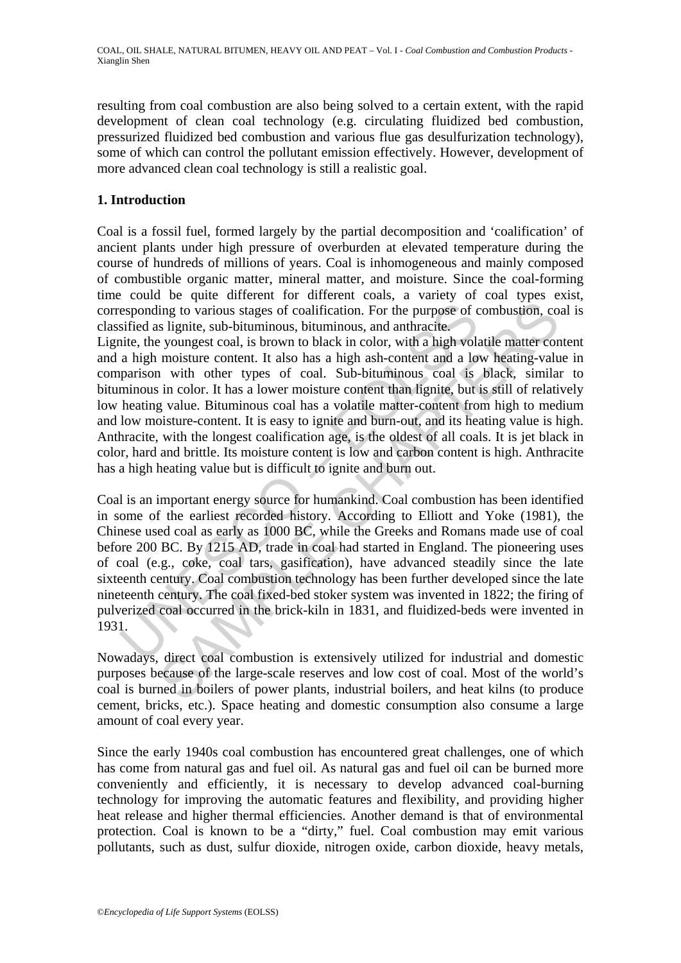resulting from coal combustion are also being solved to a certain extent, with the rapid development of clean coal technology (e.g. circulating fluidized bed combustion, pressurized fluidized bed combustion and various flue gas desulfurization technology), some of which can control the pollutant emission effectively. However, development of more advanced clean coal technology is still a realistic goal.

### **1. Introduction**

Coal is a fossil fuel, formed largely by the partial decomposition and 'coalification' of ancient plants under high pressure of overburden at elevated temperature during the course of hundreds of millions of years. Coal is inhomogeneous and mainly composed of combustible organic matter, mineral matter, and moisture. Since the coal-forming time could be quite different for different coals, a variety of coal types exist, corresponding to various stages of coalification. For the purpose of combustion, coal is classified as lignite, sub-bituminous, bituminous, and anthracite.

Lignite, the youngest coal, is brown to black in color, with a high volatile matter content and a high moisture content. It also has a high ash-content and a low heating-value in comparison with other types of coal. Sub-bituminous coal is black, similar to bituminous in color. It has a lower moisture content than lignite, but is still of relatively low heating value. Bituminous coal has a volatile matter-content from high to medium and low moisture-content. It is easy to ignite and burn-out, and its heating value is high. Anthracite, with the longest coalification age, is the oldest of all coals. It is jet black in color, hard and brittle. Its moisture content is low and carbon content is high. Anthracite has a high heating value but is difficult to ignite and burn out.

esponding to various stages of coalification. For the purpose of csified as lignite, sub-bituminous, bituminous, and anthracite.<br>
ite, the youngest coal, is brown to black in color, with a high vola<br>
a high moisture conten ing to various stages of coalification. For the purpose of combustion, cos lignite, sub-bituminous, bituminous, and anthracite.<br>
youngest coal, is brown to black in color, with a high volatile matter commisture content. I Coal is an important energy source for humankind. Coal combustion has been identified in some of the earliest recorded history. According to Elliott and Yoke (1981), the Chinese used coal as early as 1000 BC, while the Greeks and Romans made use of coal before 200 BC. By 1215 AD, trade in coal had started in England. The pioneering uses of coal (e.g., coke, coal tars, gasification), have advanced steadily since the late sixteenth century. Coal combustion technology has been further developed since the late nineteenth century. The coal fixed-bed stoker system was invented in 1822; the firing of pulverized coal occurred in the brick-kiln in 1831, and fluidized-beds were invented in 1931.

Nowadays, direct coal combustion is extensively utilized for industrial and domestic purposes because of the large-scale reserves and low cost of coal. Most of the world's coal is burned in boilers of power plants, industrial boilers, and heat kilns (to produce cement, bricks, etc.). Space heating and domestic consumption also consume a large amount of coal every year.

Since the early 1940s coal combustion has encountered great challenges, one of which has come from natural gas and fuel oil. As natural gas and fuel oil can be burned more conveniently and efficiently, it is necessary to develop advanced coal-burning technology for improving the automatic features and flexibility, and providing higher heat release and higher thermal efficiencies. Another demand is that of environmental protection. Coal is known to be a "dirty," fuel. Coal combustion may emit various pollutants, such as dust, sulfur dioxide, nitrogen oxide, carbon dioxide, heavy metals,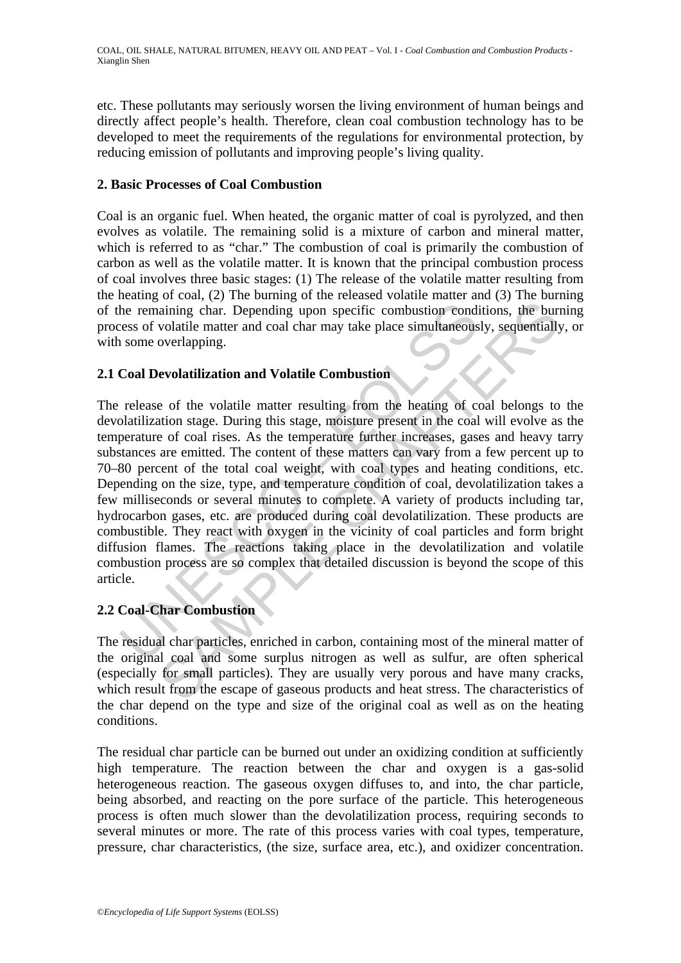etc. These pollutants may seriously worsen the living environment of human beings and directly affect people's health. Therefore, clean coal combustion technology has to be developed to meet the requirements of the regulations for environmental protection, by reducing emission of pollutants and improving people's living quality.

#### **2. Basic Processes of Coal Combustion**

Coal is an organic fuel. When heated, the organic matter of coal is pyrolyzed, and then evolves as volatile. The remaining solid is a mixture of carbon and mineral matter, which is referred to as "char." The combustion of coal is primarily the combustion of carbon as well as the volatile matter. It is known that the principal combustion process of coal involves three basic stages: (1) The release of the volatile matter resulting from the heating of coal, (2) The burning of the released volatile matter and (3) The burning of the remaining char. Depending upon specific combustion conditions, the burning process of volatile matter and coal char may take place simultaneously, sequentially, or with some overlapping.

### **2.1 Coal Devolatilization and Volatile Combustion**

the remaining char. Depending upon specific combustion condicess of volatile matter and coal char may take place simultaneous<br>some overlapping.<br>Coal Devolatilization and Volatile Combustion<br>release of the volatile matter r ialining char. Depending upon specific combustion conditions, the burnolation charge that the and coal char may take place simultaneously, sequentially overlapping.<br> **Evolatilization and Volatile Combustion**<br> **e** of the vo The release of the volatile matter resulting from the heating of coal belongs to the devolatilization stage. During this stage, moisture present in the coal will evolve as the temperature of coal rises. As the temperature further increases, gases and heavy tarry substances are emitted. The content of these matters can vary from a few percent up to 70–80 percent of the total coal weight, with coal types and heating conditions, etc. Depending on the size, type, and temperature condition of coal, devolatilization takes a few milliseconds or several minutes to complete. A variety of products including tar, hydrocarbon gases, etc. are produced during coal devolatilization. These products are combustible. They react with oxygen in the vicinity of coal particles and form bright diffusion flames. The reactions taking place in the devolatilization and volatile combustion process are so complex that detailed discussion is beyond the scope of this article.

### **2.2 Coal-Char Combustion**

The residual char particles, enriched in carbon, containing most of the mineral matter of the original coal and some surplus nitrogen as well as sulfur, are often spherical (especially for small particles). They are usually very porous and have many cracks, which result from the escape of gaseous products and heat stress. The characteristics of the char depend on the type and size of the original coal as well as on the heating conditions.

The residual char particle can be burned out under an oxidizing condition at sufficiently high temperature. The reaction between the char and oxygen is a gas-solid heterogeneous reaction. The gaseous oxygen diffuses to, and into, the char particle, being absorbed, and reacting on the pore surface of the particle. This heterogeneous process is often much slower than the devolatilization process, requiring seconds to several minutes or more. The rate of this process varies with coal types, temperature, pressure, char characteristics, (the size, surface area, etc.), and oxidizer concentration.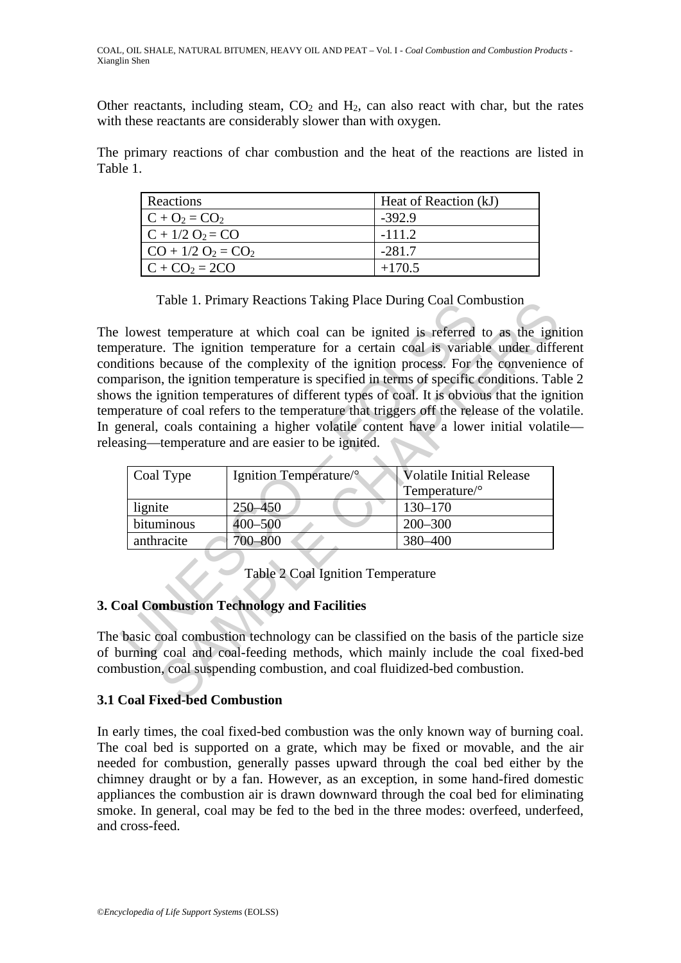Other reactants, including steam,  $CO<sub>2</sub>$  and  $H<sub>2</sub>$ , can also react with char, but the rates with these reactants are considerably slower than with oxygen.

The primary reactions of char combustion and the heat of the reactions are listed in Table 1.

| Reactions             | Heat of Reaction (kJ) |
|-----------------------|-----------------------|
| $C + O_2 = CO_2$      | $-392.9$              |
| $C + 1/2 O_2 = CO$    | $-111.2$              |
| $CO + 1/2 O_2 = CO_2$ | $-281.7$              |
| $C + CO_2 = 2CO$      | $+170.5$              |

Table 1. Primary Reactions Taking Place During Coal Combustion

Table 1. Primary Reactions Taking Prace During Coat Control<br>lowest temperature at which coal can be ignited is referred<br>perature. The ignition temperature for a certain coal is variabilitions because of the complexity of t Table 1. Primary Reactions I aking Place During Coal Combustion<br>
t temperature at which coal can be ignited is referred to as the ignit<br>
e. The ignition temperature for a certain coal is variable under different<br>
because The lowest temperature at which coal can be ignited is referred to as the ignition temperature. The ignition temperature for a certain coal is variable under different conditions because of the complexity of the ignition process. For the convenience of comparison, the ignition temperature is specified in terms of specific conditions. Table 2 shows the ignition temperatures of different types of coal. It is obvious that the ignition temperature of coal refers to the temperature that triggers off the release of the volatile. In general, coals containing a higher volatile content have a lower initial volatile releasing—temperature and are easier to be ignited.

| Coal Type  | Ignition Temperature/° | <b>Volatile Initial Release</b> |
|------------|------------------------|---------------------------------|
|            |                        | $T$ emperature/ $\circ$         |
| lignite    | 250–450                | $130 - 170$                     |
| bituminous | 400-500                | $200 - 300$                     |
| anthracite | 700–800                | 380-400                         |

Table 2 Coal Ignition Temperature

### **3. Coal Combustion Technology and Facilities**

The basic coal combustion technology can be classified on the basis of the particle size of burning coal and coal-feeding methods, which mainly include the coal fixed-bed combustion, coal suspending combustion, and coal fluidized-bed combustion.

### **3.1 Coal Fixed-bed Combustion**

In early times, the coal fixed-bed combustion was the only known way of burning coal. The coal bed is supported on a grate, which may be fixed or movable, and the air needed for combustion, generally passes upward through the coal bed either by the chimney draught or by a fan. However, as an exception, in some hand-fired domestic appliances the combustion air is drawn downward through the coal bed for eliminating smoke. In general, coal may be fed to the bed in the three modes: overfeed, underfeed, and cross-feed.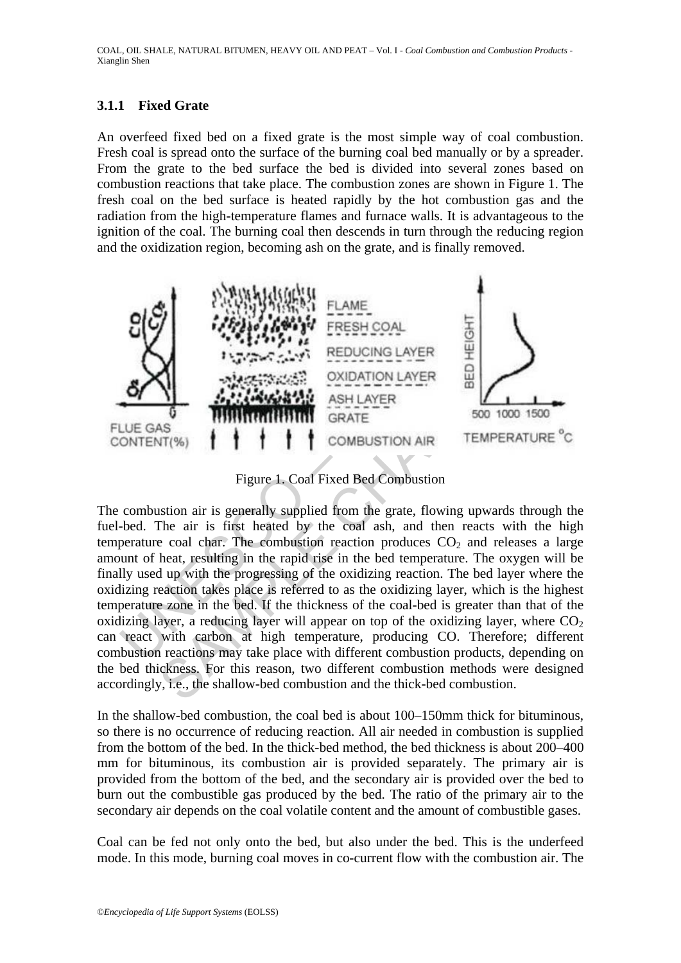### **3.1.1 Fixed Grate**

An overfeed fixed bed on a fixed grate is the most simple way of coal combustion. Fresh coal is spread onto the surface of the burning coal bed manually or by a spreader. From the grate to the bed surface the bed is divided into several zones based on combustion reactions that take place. The combustion zones are shown in Figure 1. The fresh coal on the bed surface is heated rapidly by the hot combustion gas and the radiation from the high-temperature flames and furnace walls. It is advantageous to the ignition of the coal. The burning coal then descends in turn through the reducing region and the oxidization region, becoming ash on the grate, and is finally removed.



Figure 1. Coal Fixed Bed Combustion

SAMPLE CALL THE CONDUCTER<br>
SAMPLE CHAPTER COAL<br>
SAMPLE CHAPTER RESERVED AND REDUCING LAYER<br>
SAMPLE CHAPTER COAL<br>
SAMPLE CHAPTER CONDUCTION LAYER<br>
SAMPLE CONDUCTION LAYER<br>
SAMPLE CONDUCTION AIR TEMPERATURE<br>
Figure 1. Coal The combustion air is generally supplied from the grate, flowing upwards through the fuel-bed. The air is first heated by the coal ash, and then reacts with the high temperature coal char. The combustion reaction produces  $CO<sub>2</sub>$  and releases a large amount of heat, resulting in the rapid rise in the bed temperature. The oxygen will be finally used up with the progressing of the oxidizing reaction. The bed layer where the oxidizing reaction takes place is referred to as the oxidizing layer, which is the highest temperature zone in the bed. If the thickness of the coal-bed is greater than that of the oxidizing layer, a reducing layer will appear on top of the oxidizing layer, where  $CO<sub>2</sub>$ can react with carbon at high temperature, producing CO. Therefore; different combustion reactions may take place with different combustion products, depending on the bed thickness. For this reason, two different combustion methods were designed accordingly, i.e., the shallow-bed combustion and the thick-bed combustion.

In the shallow-bed combustion, the coal bed is about 100–150mm thick for bituminous, so there is no occurrence of reducing reaction. All air needed in combustion is supplied from the bottom of the bed. In the thick-bed method, the bed thickness is about 200–400 mm for bituminous, its combustion air is provided separately. The primary air is provided from the bottom of the bed, and the secondary air is provided over the bed to burn out the combustible gas produced by the bed. The ratio of the primary air to the secondary air depends on the coal volatile content and the amount of combustible gases.

Coal can be fed not only onto the bed, but also under the bed. This is the underfeed mode. In this mode, burning coal moves in co-current flow with the combustion air. The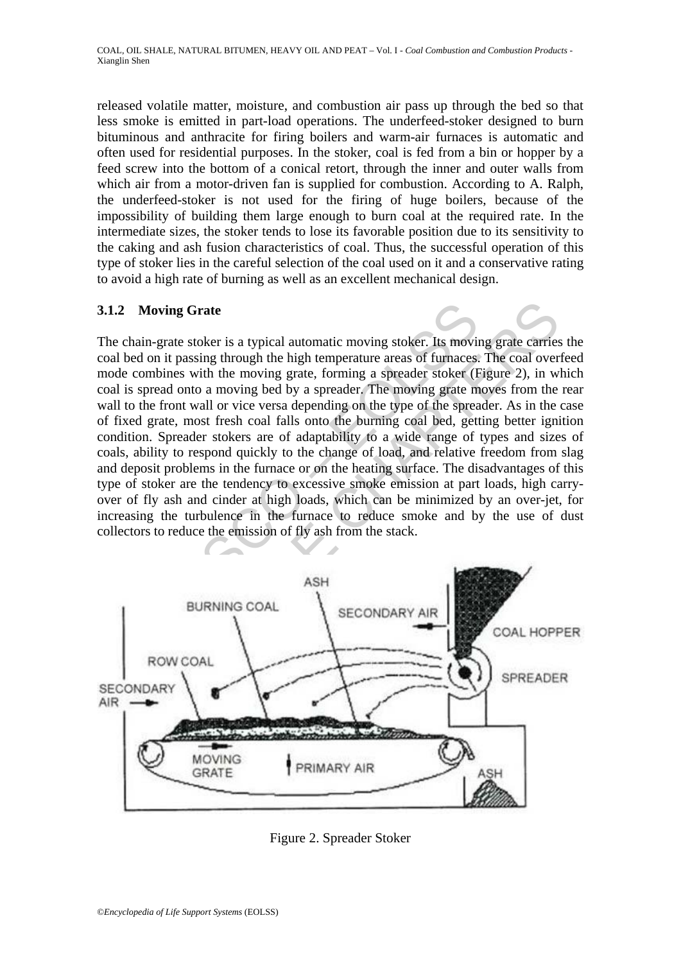released volatile matter, moisture, and combustion air pass up through the bed so that less smoke is emitted in part-load operations. The underfeed-stoker designed to burn bituminous and anthracite for firing boilers and warm-air furnaces is automatic and often used for residential purposes. In the stoker, coal is fed from a bin or hopper by a feed screw into the bottom of a conical retort, through the inner and outer walls from which air from a motor-driven fan is supplied for combustion. According to A. Ralph, the underfeed-stoker is not used for the firing of huge boilers, because of the impossibility of building them large enough to burn coal at the required rate. In the intermediate sizes, the stoker tends to lose its favorable position due to its sensitivity to the caking and ash fusion characteristics of coal. Thus, the successful operation of this type of stoker lies in the careful selection of the coal used on it and a conservative rating to avoid a high rate of burning as well as an excellent mechanical design.

### **3.1.2 Moving Grate**

2 Moving Grate<br>
chain-grate stoker is a typical automatic moving stoker. Its movind<br>
bed on it passing through the high temperature areas of furnaces<br>
be combines with the moving grate, forming a spreader stoker (E<br>
is spr NORTHERIAL BURNING COAL<br>
SAMPLE CONDARY ARREST PONCOAL HOPFON COAL HOPFON COAL HOPFON COAL MORE THE SAMPLE COAL MORE CONDARY ARREST PORTUNING COAL THE SECONDARY ARREST PORTUNING COAL THE SECONDARY ARREST PORTUNING COAL THE The chain-grate stoker is a typical automatic moving stoker. Its moving grate carries the coal bed on it passing through the high temperature areas of furnaces. The coal overfeed mode combines with the moving grate, forming a spreader stoker (Figure 2), in which coal is spread onto a moving bed by a spreader. The moving grate moves from the rear wall to the front wall or vice versa depending on the type of the spreader. As in the case of fixed grate, most fresh coal falls onto the burning coal bed, getting better ignition condition. Spreader stokers are of adaptability to a wide range of types and sizes of coals, ability to respond quickly to the change of load, and relative freedom from slag and deposit problems in the furnace or on the heating surface. The disadvantages of this type of stoker are the tendency to excessive smoke emission at part loads, high carryover of fly ash and cinder at high loads, which can be minimized by an over-jet, for increasing the turbulence in the furnace to reduce smoke and by the use of dust collectors to reduce the emission of fly ash from the stack.



Figure 2. Spreader Stoker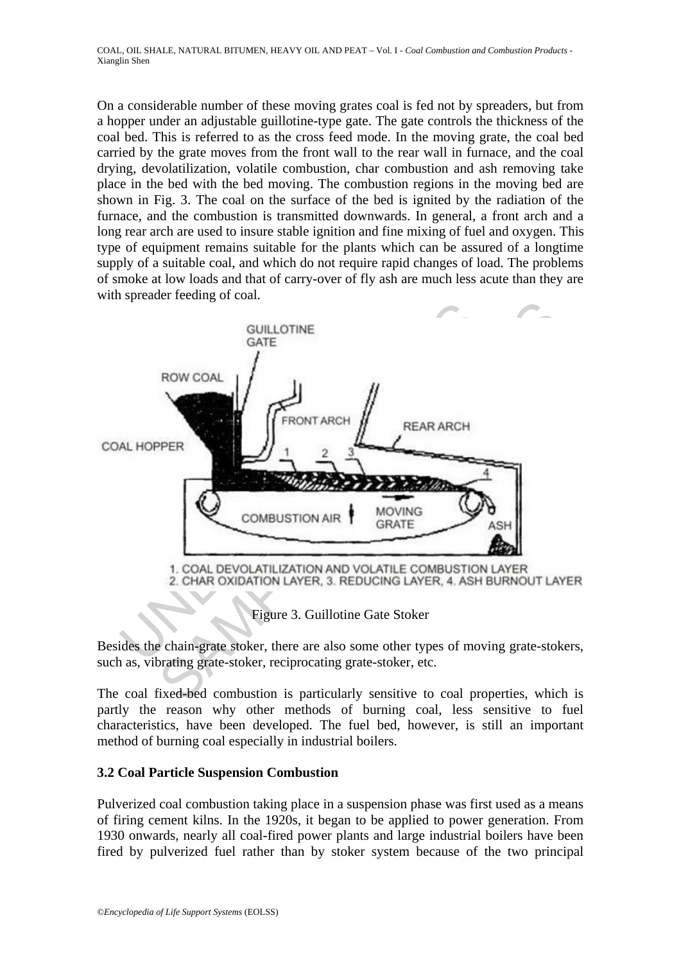On a considerable number of these moving grates coal is fed not by spreaders, but from a hopper under an adjustable guillotine-type gate. The gate controls the thickness of the coal bed. This is referred to as the cross feed mode. In the moving grate, the coal bed carried by the grate moves from the front wall to the rear wall in furnace, and the coal drying, devolatilization, volatile combustion, char combustion and ash removing take place in the bed with the bed moving. The combustion regions in the moving bed are shown in Fig. 3. The coal on the surface of the bed is ignited by the radiation of the furnace, and the combustion is transmitted downwards. In general, a front arch and a long rear arch are used to insure stable ignition and fine mixing of fuel and oxygen. This type of equipment remains suitable for the plants which can be assured of a longtime supply of a suitable coal, and which do not require rapid changes of load. The problems of smoke at low loads and that of carry-over of fly ash are much less acute than they are with spreader feeding of coal.



Figure 3. Guillotine Gate Stoker

Besides the chain-grate stoker, there are also some other types of moving grate-stokers, such as, vibrating grate-stoker, reciprocating grate-stoker, etc.

The coal fixed-bed combustion is particularly sensitive to coal properties, which is partly the reason why other methods of burning coal, less sensitive to fuel characteristics, have been developed. The fuel bed, however, is still an important method of burning coal especially in industrial boilers.

### **3.2 Coal Particle Suspension Combustion**

Pulverized coal combustion taking place in a suspension phase was first used as a means of firing cement kilns. In the 1920s, it began to be applied to power generation. From 1930 onwards, nearly all coal-fired power plants and large industrial boilers have been fired by pulverized fuel rather than by stoker system because of the two principal